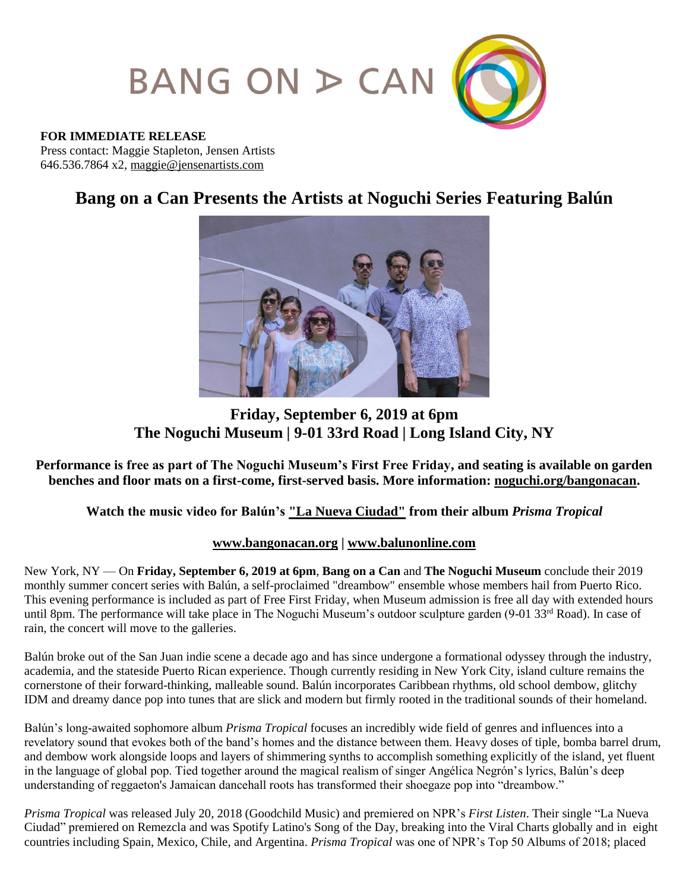

#### **FOR IMMEDIATE RELEASE**

Press contact: Maggie Stapleton, Jensen Artists 646.536.7864 x2, [maggie@jensenartists.com](mailto:maggie@jensenartists.com)

# **Bang on a Can Presents the Artists at Noguchi Series Featuring Balún**



## **Friday, September 6, 2019 at 6pm The Noguchi Museum | 9-01 33rd Road | Long Island City, NY**

**Performance is free as part of The Noguchi Museum's First Free Friday, and seating is available on garden benches and floor mats on a first-come, first-served basis. More information: [noguchi.org/bangonacan.](https://www.noguchi.org/programs/public/artists-noguchi-bang-can-music-series-balun-september-6-2019)**

### **Watch the music video for Balún's ["La Nueva Ciudad"](https://www.youtube.com/watch?v=6xb61jOiq_0) from their album** *Prisma Tropical*

### **[www.bangonacan.org](http://www.bangonacan.org/) | [www.balunonline.com](http://www.balunonline.com/)**

New York, NY — On **Friday, September 6, 2019 at 6pm**, **Bang on a Can** and **The Noguchi Museum** conclude their 2019 monthly summer concert series with Balún, a self-proclaimed "dreambow" ensemble whose members hail from Puerto Rico. This evening performance is included as part of Free First Friday, when Museum admission is free all day with extended hours until 8pm. The performance will take place in The Noguchi Museum's outdoor sculpture garden (9-01 33rd Road). In case of rain, the concert will move to the galleries.

Balún broke out of the San Juan indie scene a decade ago and has since undergone a formational odyssey through the industry, academia, and the stateside Puerto Rican experience. Though currently residing in New York City, island culture remains the cornerstone of their forward-thinking, malleable sound. Balún incorporates Caribbean rhythms, old school dembow, glitchy IDM and dreamy dance pop into tunes that are slick and modern but firmly rooted in the traditional sounds of their homeland.

Balún's long-awaited sophomore album *Prisma Tropical* focuses an incredibly wide field of genres and influences into a revelatory sound that evokes both of the band's homes and the distance between them. Heavy doses of tiple, bomba barrel drum, and dembow work alongside loops and layers of shimmering synths to accomplish something explicitly of the island, yet fluent in the language of global pop. Tied together around the magical realism of singer Angélica Negrón's lyrics, Balún's deep understanding of reggaeton's Jamaican dancehall roots has transformed their shoegaze pop into "dreambow."

*Prisma Tropical* was released July 20, 2018 (Goodchild Music) and premiered on NPR's *First Listen*. Their single "La Nueva Ciudad" premiered on Remezcla and was Spotify Latino's Song of the Day, breaking into the Viral Charts globally and in eight countries including Spain, Mexico, Chile, and Argentina. *Prisma Tropical* was one of NPR's Top 50 Albums of 2018; placed